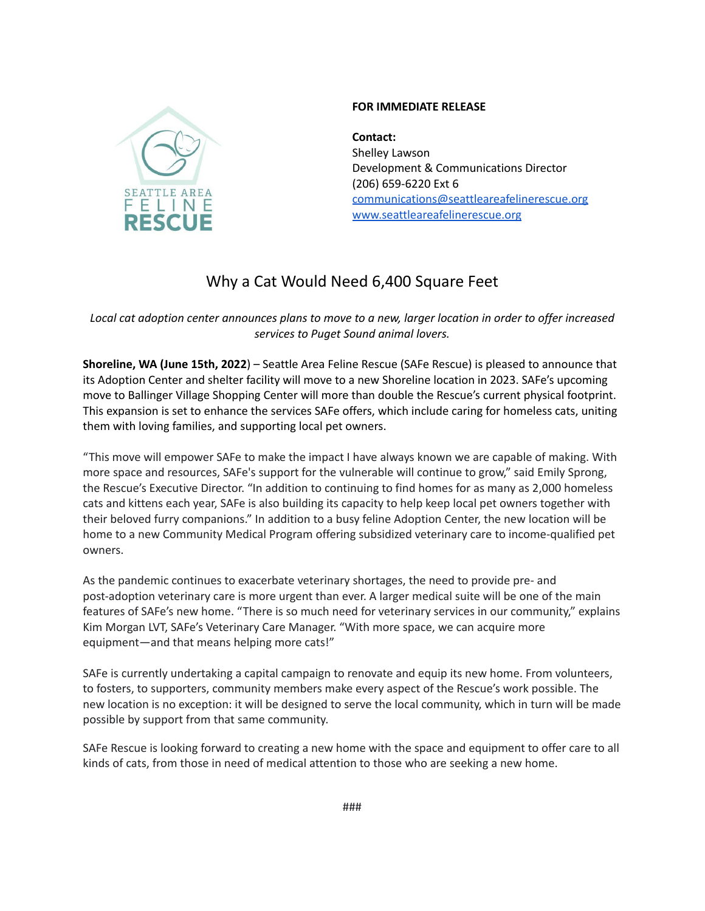

## **FOR IMMEDIATE RELEASE**

**Contact:** Shelley Lawson Development & Communications Director (206) 659-6220 Ext 6 [communications@seattleareafelinerescue.org](mailto:communications@seattleareafelinerescue.org) [www.seattleareafelinerescue.org](http://www.seattleareafelinerescue.org)

## Why a Cat Would Need 6,400 Square Feet

## Local cat adoption center announces plans to move to a new, larger location in order to offer increased *services to Puget Sound animal lovers.*

**Shoreline, WA (June 15th, 2022**) – Seattle Area Feline Rescue (SAFe Rescue) is pleased to announce that its Adoption Center and shelter facility will move to a new Shoreline location in 2023. SAFe's upcoming move to Ballinger Village Shopping Center will more than double the Rescue's current physical footprint. This expansion is set to enhance the services SAFe offers, which include caring for homeless cats, uniting them with loving families, and supporting local pet owners.

"This move will empower SAFe to make the impact I have always known we are capable of making. With more space and resources, SAFe's support for the vulnerable will continue to grow," said Emily Sprong, the Rescue's Executive Director. "In addition to continuing to find homes for as many as 2,000 homeless cats and kittens each year, SAFe is also building its capacity to help keep local pet owners together with their beloved furry companions." In addition to a busy feline Adoption Center, the new location will be home to a new Community Medical Program offering subsidized veterinary care to income-qualified pet owners.

As the pandemic continues to exacerbate veterinary shortages, the need to provide pre- and post-adoption veterinary care is more urgent than ever. A larger medical suite will be one of the main features of SAFe's new home. "There is so much need for veterinary services in our community," explains Kim Morgan LVT, SAFe's Veterinary Care Manager. "With more space, we can acquire more equipment—and that means helping more cats!"

SAFe is currently undertaking a capital campaign to renovate and equip its new home. From volunteers, to fosters, to supporters, community members make every aspect of the Rescue's work possible. The new location is no exception: it will be designed to serve the local community, which in turn will be made possible by support from that same community.

SAFe Rescue is looking forward to creating a new home with the space and equipment to offer care to all kinds of cats, from those in need of medical attention to those who are seeking a new home.